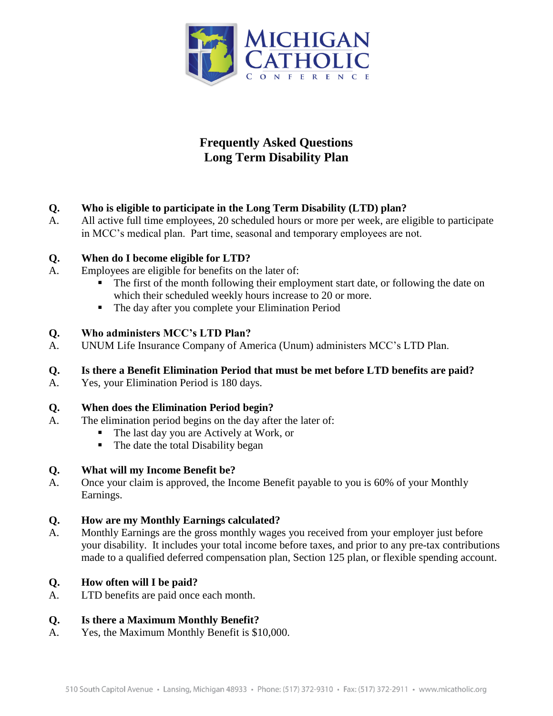

# **Frequently Asked Questions Long Term Disability Plan**

# **Q. Who is eligible to participate in the Long Term Disability (LTD) plan?**

A. All active full time employees, 20 scheduled hours or more per week, are eligible to participate in MCC's medical plan. Part time, seasonal and temporary employees are not.

## **Q. When do I become eligible for LTD?**

- A. Employees are eligible for benefits on the later of:
	- The first of the month following their employment start date, or following the date on which their scheduled weekly hours increase to 20 or more.
	- The day after you complete your Elimination Period

## **Q. Who administers MCC's LTD Plan?**

A. UNUM Life Insurance Company of America (Unum) administers MCC's LTD Plan.

## **Q. Is there a Benefit Elimination Period that must be met before LTD benefits are paid?**

A. Yes, your Elimination Period is 180 days.

## **Q. When does the Elimination Period begin?**

- A. The elimination period begins on the day after the later of:
	- The last day you are Actively at Work, or
	- The date the total Disability began

#### **Q. What will my Income Benefit be?**

A. Once your claim is approved, the Income Benefit payable to you is 60% of your Monthly Earnings.

#### **Q. How are my Monthly Earnings calculated?**

A. Monthly Earnings are the gross monthly wages you received from your employer just before your disability. It includes your total income before taxes, and prior to any pre-tax contributions made to a qualified deferred compensation plan, Section 125 plan, or flexible spending account.

## **Q. How often will I be paid?**

A. LTD benefits are paid once each month.

## **Q. Is there a Maximum Monthly Benefit?**

A. Yes, the Maximum Monthly Benefit is \$10,000.